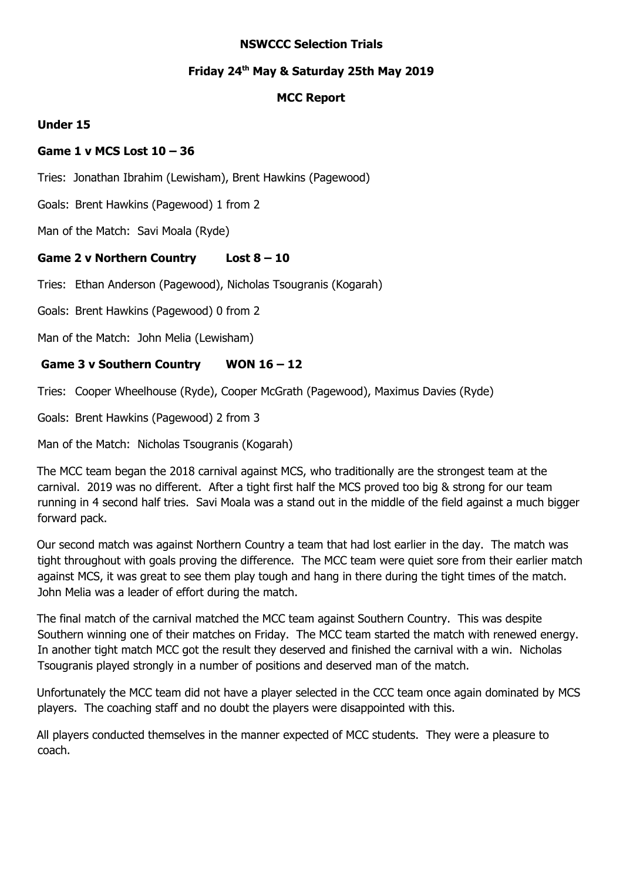#### **NSWCCC Selection Trials**

### **Friday 24 th May & Saturday 25th May 2019**

### **MCC Report**

### **Under 15**

### **Game 1 v MCS Lost 10 – 36**

Tries: Jonathan Ibrahim (Lewisham), Brent Hawkins (Pagewood)

Goals: Brent Hawkins (Pagewood) 1 from 2

Man of the Match: Savi Moala (Ryde)

# **Game 2 v Northern Country Lost 8 – 10**

Tries: Ethan Anderson (Pagewood), Nicholas Tsougranis (Kogarah)

Goals: Brent Hawkins (Pagewood) 0 from 2

Man of the Match: John Melia (Lewisham)

# **Game 3 v Southern Country WON 16 – 12**

Tries: Cooper Wheelhouse (Ryde), Cooper McGrath (Pagewood), Maximus Davies (Ryde)

Goals: Brent Hawkins (Pagewood) 2 from 3

Man of the Match: Nicholas Tsougranis (Kogarah)

The MCC team began the 2018 carnival against MCS, who traditionally are the strongest team at the carnival. 2019 was no different. After a tight first half the MCS proved too big & strong for our team running in 4 second half tries. Savi Moala was a stand out in the middle of the field against a much bigger forward pack.

Our second match was against Northern Country a team that had lost earlier in the day. The match was tight throughout with goals proving the difference. The MCC team were quiet sore from their earlier match against MCS, it was great to see them play tough and hang in there during the tight times of the match. John Melia was a leader of effort during the match.

The final match of the carnival matched the MCC team against Southern Country. This was despite Southern winning one of their matches on Friday. The MCC team started the match with renewed energy. In another tight match MCC got the result they deserved and finished the carnival with a win. Nicholas Tsougranis played strongly in a number of positions and deserved man of the match.

Unfortunately the MCC team did not have a player selected in the CCC team once again dominated by MCS players. The coaching staff and no doubt the players were disappointed with this.

All players conducted themselves in the manner expected of MCC students. They were a pleasure to coach.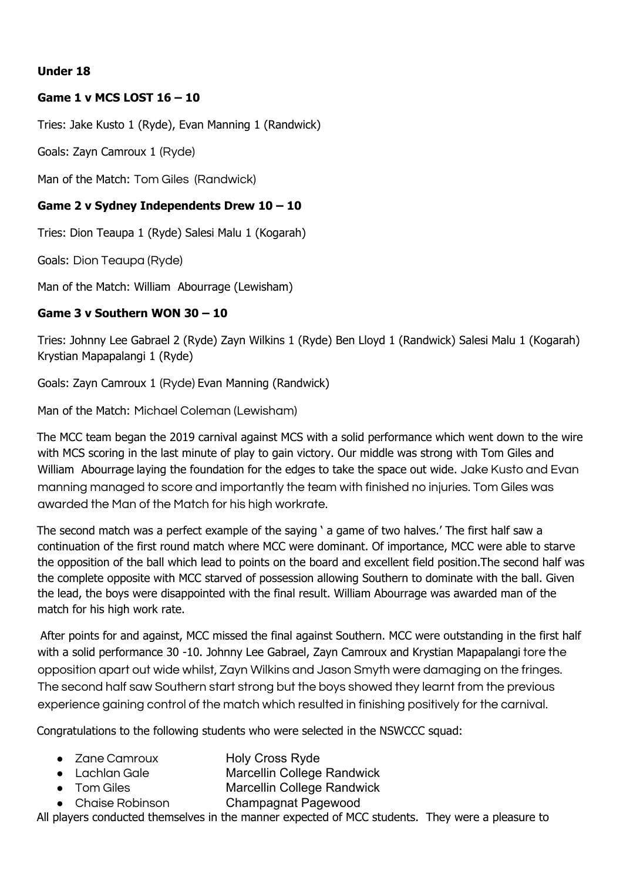# **Under 18**

# **Game 1 v MCS LOST 16 – 10**

Tries: Jake Kusto 1 (Ryde), Evan Manning 1 (Randwick)

Goals: Zayn Camroux 1 (Ryde)

Man of the Match: Tom Giles (Randwick)

# **Game 2 v Sydney Independents Drew 10 – 10**

Tries: Dion Teaupa 1 (Ryde) Salesi Malu 1 (Kogarah)

Goals: Dion Teaupa (Ryde)

Man of the Match: William Abourrage (Lewisham)

### **Game 3 v Southern WON 30 – 10**

Tries: Johnny Lee Gabrael 2 (Ryde) Zayn Wilkins 1 (Ryde) Ben Lloyd 1 (Randwick) Salesi Malu 1 (Kogarah) Krystian Mapapalangi 1 (Ryde)

Goals: Zayn Camroux 1 (Ryde) Evan Manning (Randwick)

Man of the Match: Michael Coleman (Lewisham)

The MCC team began the 2019 carnival against MCS with a solid performance which went down to the wire with MCS scoring in the last minute of play to gain victory. Our middle was strong with Tom Giles and William Abourrage laying the foundation for the edges to take the space out wide. Jake Kusto and Evan manning managed to score and importantly the team with finished no injuries. Tom Giles was awarded the Man of the Match for his high workrate.

The second match was a perfect example of the saying ' a game of two halves.' The first half saw a continuation of the first round match where MCC were dominant. Of importance, MCC were able to starve the opposition of the ball which lead to points on the board and excellent field position.The second half was the complete opposite with MCC starved of possession allowing Southern to dominate with the ball. Given the lead, the boys were disappointed with the final result. William Abourrage was awarded man of the match for his high work rate.

After points for and against, MCC missed the final against Southern. MCC were outstanding in the first half with a solid performance 30 -10. Johnny Lee Gabrael, Zayn Camroux and Krystian Mapapalangi tore the opposition apart out wide whilst, Zayn Wilkins and Jason Smyth were damaging on the fringes. The second half saw Southern start strong but the boys showed they learnt from the previous experience gaining control of the match which resulted in finishing positively for the carnival.

Congratulations to the following students who were selected in the NSWCCC squad:

- Zane Camroux Holy Cross Ryde
- Lachlan Gale Marcellin College Randwick
	- Tom Giles Marcellin College Randwick
	- Chaise Robinson Champagnat Pagewood

All players conducted themselves in the manner expected of MCC students. They were a pleasure to